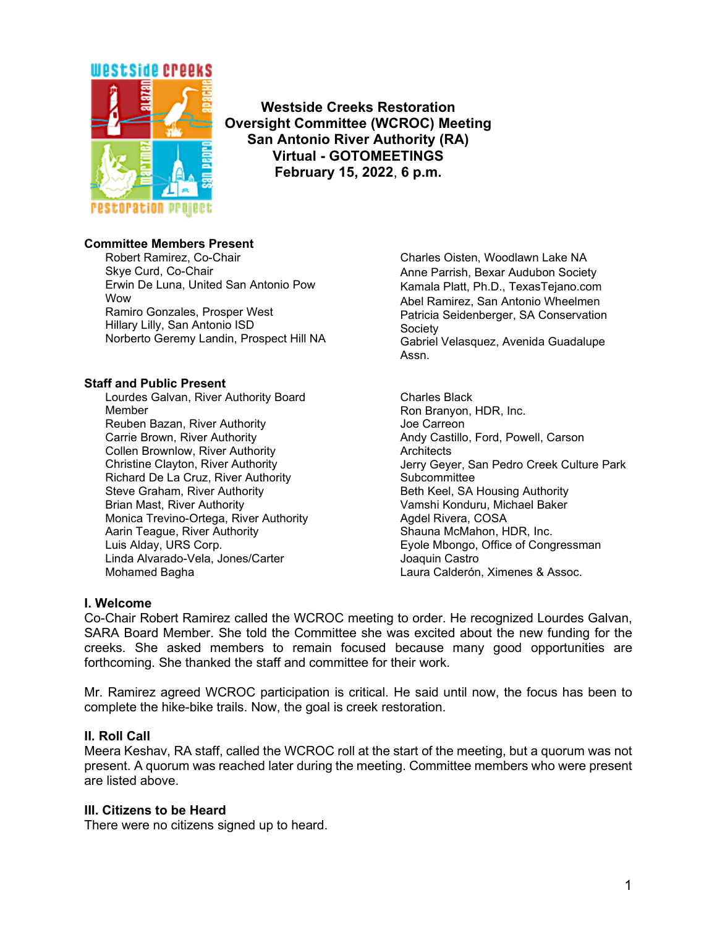

**Westside Creeks Restoration Oversight Committee (WCROC) Meeting San Antonio River Authority (RA) Virtual - GOTOMEETINGS February 15, 2022**, **6 p.m.**

# **Committee Members Present**

Robert Ramirez, Co-Chair Skye Curd, Co-Chair Erwin De Luna, United San Antonio Pow **Wow** Ramiro Gonzales, Prosper West Hillary Lilly, San Antonio ISD Norberto Geremy Landin, Prospect Hill NA

#### **Staff and Public Present**

Lourdes Galvan, River Authority Board Member Reuben Bazan, River Authority Carrie Brown, River Authority Collen Brownlow, River Authority Christine Clayton, River Authority Richard De La Cruz, River Authority Steve Graham, River Authority Brian Mast, River Authority Monica Trevino-Ortega, River Authority Aarin Teague, River Authority Luis Alday, URS Corp. Linda Alvarado-Vela, Jones/Carter Mohamed Bagha

Charles Oisten, Woodlawn Lake NA Anne Parrish, Bexar Audubon Society Kamala Platt, Ph.D., TexasTejano.com Abel Ramirez, San Antonio Wheelmen Patricia Seidenberger, SA Conservation **Society** Gabriel Velasquez, Avenida Guadalupe Assn.

Charles Black Ron Branyon, HDR, Inc. Joe Carreon Andy Castillo, Ford, Powell, Carson **Architects** Jerry Geyer, San Pedro Creek Culture Park Subcommittee Beth Keel, SA Housing Authority Vamshi Konduru, Michael Baker Agdel Rivera, COSA Shauna McMahon, HDR, Inc. Eyole Mbongo, Office of Congressman Joaquin Castro Laura Calderón, Ximenes & Assoc.

# **I. Welcome**

Co-Chair Robert Ramirez called the WCROC meeting to order. He recognized Lourdes Galvan, SARA Board Member. She told the Committee she was excited about the new funding for the creeks. She asked members to remain focused because many good opportunities are forthcoming. She thanked the staff and committee for their work.

Mr. Ramirez agreed WCROC participation is critical. He said until now, the focus has been to complete the hike-bike trails. Now, the goal is creek restoration.

# **II. Roll Call**

Meera Keshav, RA staff, called the WCROC roll at the start of the meeting, but a quorum was not present. A quorum was reached later during the meeting. Committee members who were present are listed above.

# **III. Citizens to be Heard**

There were no citizens signed up to heard.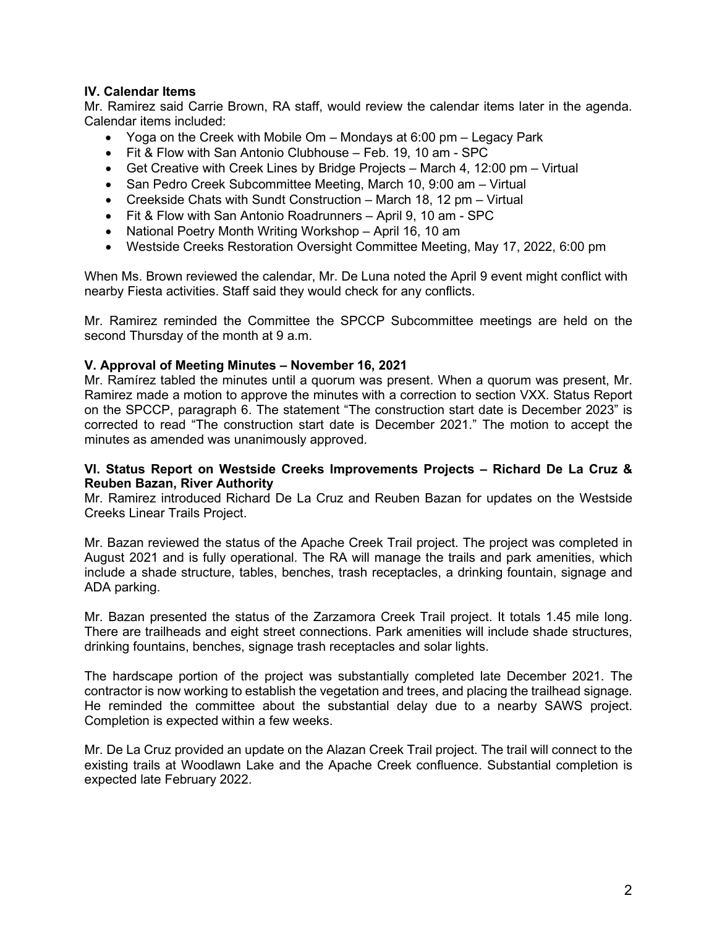# **IV. Calendar Items**

Mr. Ramirez said Carrie Brown, RA staff, would review the calendar items later in the agenda. Calendar items included:

- Yoga on the Creek with Mobile Om Mondays at 6:00 pm Legacy Park
- Fit & Flow with San Antonio Clubhouse Feb. 19, 10 am SPC
- Get Creative with Creek Lines by Bridge Projects March 4, 12:00 pm Virtual
- San Pedro Creek Subcommittee Meeting, March 10, 9:00 am Virtual
- Creekside Chats with Sundt Construction March 18, 12 pm Virtual
- Fit & Flow with San Antonio Roadrunners April 9, 10 am SPC
- National Poetry Month Writing Workshop April 16, 10 am
- Westside Creeks Restoration Oversight Committee Meeting, May 17, 2022, 6:00 pm

When Ms. Brown reviewed the calendar, Mr. De Luna noted the April 9 event might conflict with nearby Fiesta activities. Staff said they would check for any conflicts.

Mr. Ramirez reminded the Committee the SPCCP Subcommittee meetings are held on the second Thursday of the month at 9 a.m.

#### **V. Approval of Meeting Minutes – November 16, 2021**

Mr. Ramírez tabled the minutes until a quorum was present. When a quorum was present, Mr. Ramirez made a motion to approve the minutes with a correction to section VXX. Status Report on the SPCCP, paragraph 6. The statement "The construction start date is December 2023" is corrected to read "The construction start date is December 2021." The motion to accept the minutes as amended was unanimously approved.

#### **VI. Status Report on Westside Creeks Improvements Projects – Richard De La Cruz & Reuben Bazan, River Authority**

Mr. Ramirez introduced Richard De La Cruz and Reuben Bazan for updates on the Westside Creeks Linear Trails Project.

Mr. Bazan reviewed the status of the Apache Creek Trail project. The project was completed in August 2021 and is fully operational. The RA will manage the trails and park amenities, which include a shade structure, tables, benches, trash receptacles, a drinking fountain, signage and ADA parking.

Mr. Bazan presented the status of the Zarzamora Creek Trail project. It totals 1.45 mile long. There are trailheads and eight street connections. Park amenities will include shade structures, drinking fountains, benches, signage trash receptacles and solar lights.

The hardscape portion of the project was substantially completed late December 2021. The contractor is now working to establish the vegetation and trees, and placing the trailhead signage. He reminded the committee about the substantial delay due to a nearby SAWS project. Completion is expected within a few weeks.

Mr. De La Cruz provided an update on the Alazan Creek Trail project. The trail will connect to the existing trails at Woodlawn Lake and the Apache Creek confluence. Substantial completion is expected late February 2022.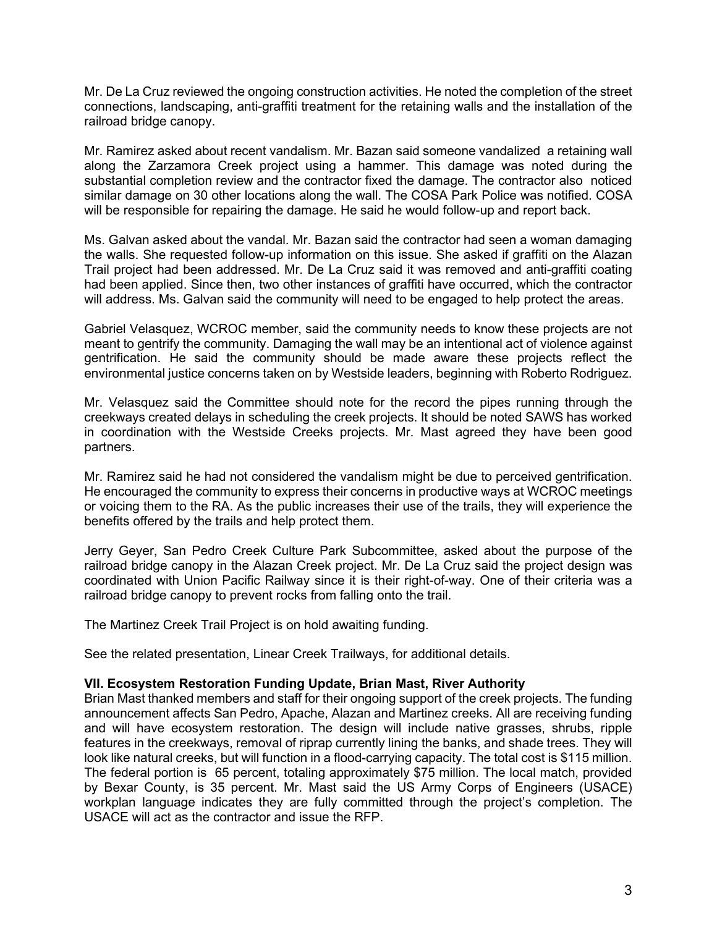Mr. De La Cruz reviewed the ongoing construction activities. He noted the completion of the street connections, landscaping, anti-graffiti treatment for the retaining walls and the installation of the railroad bridge canopy.

Mr. Ramirez asked about recent vandalism. Mr. Bazan said someone vandalized a retaining wall along the Zarzamora Creek project using a hammer. This damage was noted during the substantial completion review and the contractor fixed the damage. The contractor also noticed similar damage on 30 other locations along the wall. The COSA Park Police was notified. COSA will be responsible for repairing the damage. He said he would follow-up and report back.

Ms. Galvan asked about the vandal. Mr. Bazan said the contractor had seen a woman damaging the walls. She requested follow-up information on this issue. She asked if graffiti on the Alazan Trail project had been addressed. Mr. De La Cruz said it was removed and anti-graffiti coating had been applied. Since then, two other instances of graffiti have occurred, which the contractor will address. Ms. Galvan said the community will need to be engaged to help protect the areas.

Gabriel Velasquez, WCROC member, said the community needs to know these projects are not meant to gentrify the community. Damaging the wall may be an intentional act of violence against gentrification. He said the community should be made aware these projects reflect the environmental justice concerns taken on by Westside leaders, beginning with Roberto Rodriguez.

Mr. Velasquez said the Committee should note for the record the pipes running through the creekways created delays in scheduling the creek projects. It should be noted SAWS has worked in coordination with the Westside Creeks projects. Mr. Mast agreed they have been good partners.

Mr. Ramirez said he had not considered the vandalism might be due to perceived gentrification. He encouraged the community to express their concerns in productive ways at WCROC meetings or voicing them to the RA. As the public increases their use of the trails, they will experience the benefits offered by the trails and help protect them.

Jerry Geyer, San Pedro Creek Culture Park Subcommittee, asked about the purpose of the railroad bridge canopy in the Alazan Creek project. Mr. De La Cruz said the project design was coordinated with Union Pacific Railway since it is their right-of-way. One of their criteria was a railroad bridge canopy to prevent rocks from falling onto the trail.

The Martinez Creek Trail Project is on hold awaiting funding.

See the related presentation, Linear Creek Trailways, for additional details.

# **VII. Ecosystem Restoration Funding Update, Brian Mast, River Authority**

Brian Mast thanked members and staff for their ongoing support of the creek projects. The funding announcement affects San Pedro, Apache, Alazan and Martinez creeks. All are receiving funding and will have ecosystem restoration. The design will include native grasses, shrubs, ripple features in the creekways, removal of riprap currently lining the banks, and shade trees. They will look like natural creeks, but will function in a flood-carrying capacity. The total cost is \$115 million. The federal portion is 65 percent, totaling approximately \$75 million. The local match, provided by Bexar County, is 35 percent. Mr. Mast said the US Army Corps of Engineers (USACE) workplan language indicates they are fully committed through the project's completion. The USACE will act as the contractor and issue the RFP.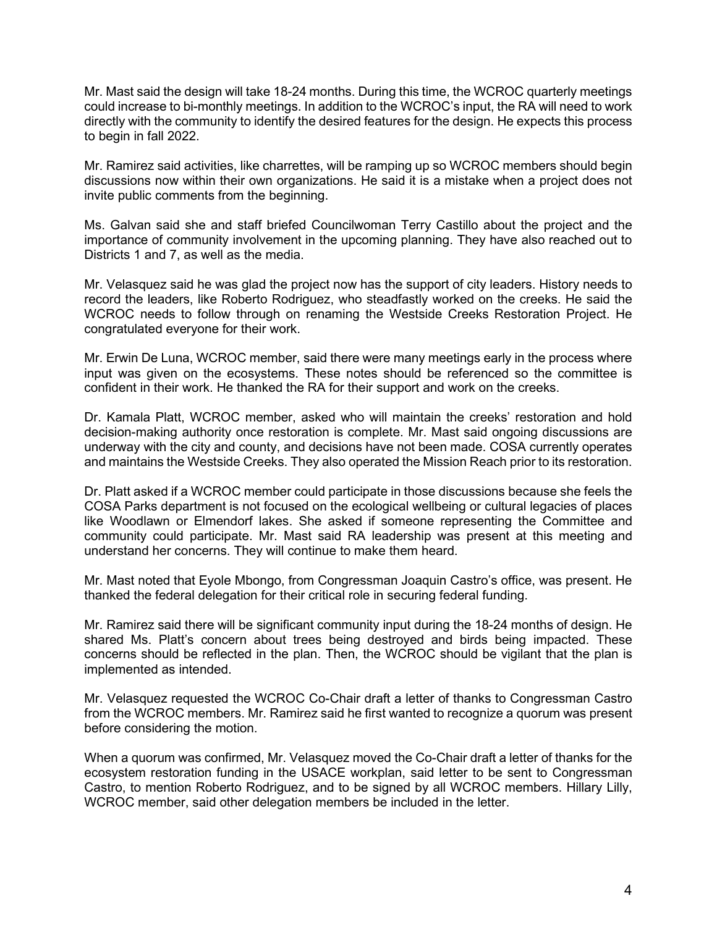Mr. Mast said the design will take 18-24 months. During this time, the WCROC quarterly meetings could increase to bi-monthly meetings. In addition to the WCROC's input, the RA will need to work directly with the community to identify the desired features for the design. He expects this process to begin in fall 2022.

Mr. Ramirez said activities, like charrettes, will be ramping up so WCROC members should begin discussions now within their own organizations. He said it is a mistake when a project does not invite public comments from the beginning.

Ms. Galvan said she and staff briefed Councilwoman Terry Castillo about the project and the importance of community involvement in the upcoming planning. They have also reached out to Districts 1 and 7, as well as the media.

Mr. Velasquez said he was glad the project now has the support of city leaders. History needs to record the leaders, like Roberto Rodriguez, who steadfastly worked on the creeks. He said the WCROC needs to follow through on renaming the Westside Creeks Restoration Project. He congratulated everyone for their work.

Mr. Erwin De Luna, WCROC member, said there were many meetings early in the process where input was given on the ecosystems. These notes should be referenced so the committee is confident in their work. He thanked the RA for their support and work on the creeks.

Dr. Kamala Platt, WCROC member, asked who will maintain the creeks' restoration and hold decision-making authority once restoration is complete. Mr. Mast said ongoing discussions are underway with the city and county, and decisions have not been made. COSA currently operates and maintains the Westside Creeks. They also operated the Mission Reach prior to its restoration.

Dr. Platt asked if a WCROC member could participate in those discussions because she feels the COSA Parks department is not focused on the ecological wellbeing or cultural legacies of places like Woodlawn or Elmendorf lakes. She asked if someone representing the Committee and community could participate. Mr. Mast said RA leadership was present at this meeting and understand her concerns. They will continue to make them heard.

Mr. Mast noted that Eyole Mbongo, from Congressman Joaquin Castro's office, was present. He thanked the federal delegation for their critical role in securing federal funding.

Mr. Ramirez said there will be significant community input during the 18-24 months of design. He shared Ms. Platt's concern about trees being destroyed and birds being impacted. These concerns should be reflected in the plan. Then, the WCROC should be vigilant that the plan is implemented as intended.

Mr. Velasquez requested the WCROC Co-Chair draft a letter of thanks to Congressman Castro from the WCROC members. Mr. Ramirez said he first wanted to recognize a quorum was present before considering the motion.

When a quorum was confirmed, Mr. Velasquez moved the Co-Chair draft a letter of thanks for the ecosystem restoration funding in the USACE workplan, said letter to be sent to Congressman Castro, to mention Roberto Rodriguez, and to be signed by all WCROC members. Hillary Lilly, WCROC member, said other delegation members be included in the letter.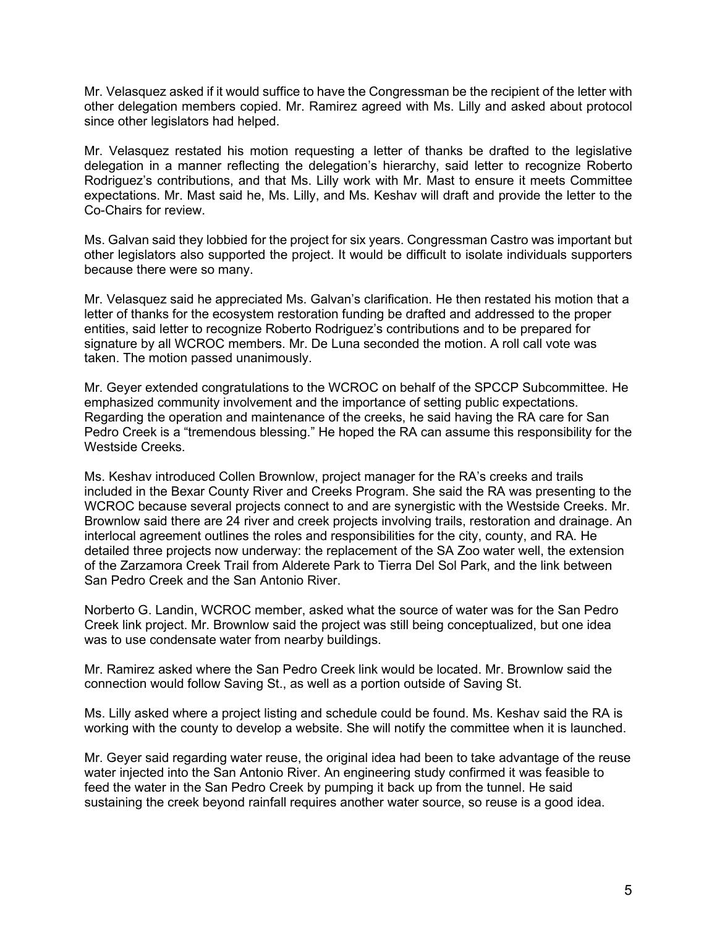Mr. Velasquez asked if it would suffice to have the Congressman be the recipient of the letter with other delegation members copied. Mr. Ramirez agreed with Ms. Lilly and asked about protocol since other legislators had helped.

Mr. Velasquez restated his motion requesting a letter of thanks be drafted to the legislative delegation in a manner reflecting the delegation's hierarchy, said letter to recognize Roberto Rodriguez's contributions, and that Ms. Lilly work with Mr. Mast to ensure it meets Committee expectations. Mr. Mast said he, Ms. Lilly, and Ms. Keshav will draft and provide the letter to the Co-Chairs for review.

Ms. Galvan said they lobbied for the project for six years. Congressman Castro was important but other legislators also supported the project. It would be difficult to isolate individuals supporters because there were so many.

Mr. Velasquez said he appreciated Ms. Galvan's clarification. He then restated his motion that a letter of thanks for the ecosystem restoration funding be drafted and addressed to the proper entities, said letter to recognize Roberto Rodriguez's contributions and to be prepared for signature by all WCROC members. Mr. De Luna seconded the motion. A roll call vote was taken. The motion passed unanimously.

Mr. Geyer extended congratulations to the WCROC on behalf of the SPCCP Subcommittee. He emphasized community involvement and the importance of setting public expectations. Regarding the operation and maintenance of the creeks, he said having the RA care for San Pedro Creek is a "tremendous blessing." He hoped the RA can assume this responsibility for the Westside Creeks.

Ms. Keshav introduced Collen Brownlow, project manager for the RA's creeks and trails included in the Bexar County River and Creeks Program. She said the RA was presenting to the WCROC because several projects connect to and are synergistic with the Westside Creeks. Mr. Brownlow said there are 24 river and creek projects involving trails, restoration and drainage. An interlocal agreement outlines the roles and responsibilities for the city, county, and RA. He detailed three projects now underway: the replacement of the SA Zoo water well, the extension of the Zarzamora Creek Trail from Alderete Park to Tierra Del Sol Park, and the link between San Pedro Creek and the San Antonio River.

Norberto G. Landin, WCROC member, asked what the source of water was for the San Pedro Creek link project. Mr. Brownlow said the project was still being conceptualized, but one idea was to use condensate water from nearby buildings.

Mr. Ramirez asked where the San Pedro Creek link would be located. Mr. Brownlow said the connection would follow Saving St., as well as a portion outside of Saving St.

Ms. Lilly asked where a project listing and schedule could be found. Ms. Keshav said the RA is working with the county to develop a website. She will notify the committee when it is launched.

Mr. Geyer said regarding water reuse, the original idea had been to take advantage of the reuse water injected into the San Antonio River. An engineering study confirmed it was feasible to feed the water in the San Pedro Creek by pumping it back up from the tunnel. He said sustaining the creek beyond rainfall requires another water source, so reuse is a good idea.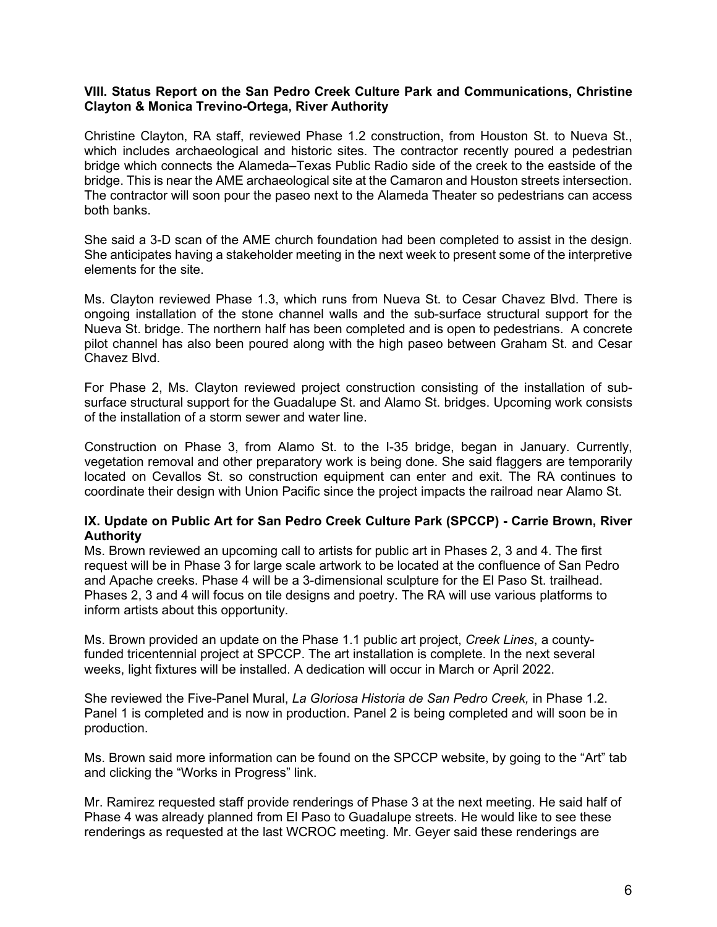### **VIII. Status Report on the San Pedro Creek Culture Park and Communications, Christine Clayton & Monica Trevino-Ortega, River Authority**

Christine Clayton, RA staff, reviewed Phase 1.2 construction, from Houston St. to Nueva St., which includes archaeological and historic sites. The contractor recently poured a pedestrian bridge which connects the Alameda–Texas Public Radio side of the creek to the eastside of the bridge. This is near the AME archaeological site at the Camaron and Houston streets intersection. The contractor will soon pour the paseo next to the Alameda Theater so pedestrians can access both banks.

She said a 3-D scan of the AME church foundation had been completed to assist in the design. She anticipates having a stakeholder meeting in the next week to present some of the interpretive elements for the site.

Ms. Clayton reviewed Phase 1.3, which runs from Nueva St. to Cesar Chavez Blvd. There is ongoing installation of the stone channel walls and the sub-surface structural support for the Nueva St. bridge. The northern half has been completed and is open to pedestrians. A concrete pilot channel has also been poured along with the high paseo between Graham St. and Cesar Chavez Blvd.

For Phase 2, Ms. Clayton reviewed project construction consisting of the installation of subsurface structural support for the Guadalupe St. and Alamo St. bridges. Upcoming work consists of the installation of a storm sewer and water line.

Construction on Phase 3, from Alamo St. to the I-35 bridge, began in January. Currently, vegetation removal and other preparatory work is being done. She said flaggers are temporarily located on Cevallos St. so construction equipment can enter and exit. The RA continues to coordinate their design with Union Pacific since the project impacts the railroad near Alamo St.

### **IX. Update on Public Art for San Pedro Creek Culture Park (SPCCP) - Carrie Brown, River Authority**

Ms. Brown reviewed an upcoming call to artists for public art in Phases 2, 3 and 4. The first request will be in Phase 3 for large scale artwork to be located at the confluence of San Pedro and Apache creeks. Phase 4 will be a 3-dimensional sculpture for the El Paso St. trailhead. Phases 2, 3 and 4 will focus on tile designs and poetry. The RA will use various platforms to inform artists about this opportunity.

Ms. Brown provided an update on the Phase 1.1 public art project, *Creek Lines*, a countyfunded tricentennial project at SPCCP. The art installation is complete. In the next several weeks, light fixtures will be installed. A dedication will occur in March or April 2022.

She reviewed the Five-Panel Mural, *La Gloriosa Historia de San Pedro Creek,* in Phase 1.2. Panel 1 is completed and is now in production. Panel 2 is being completed and will soon be in production.

Ms. Brown said more information can be found on the SPCCP website, by going to the "Art" tab and clicking the "Works in Progress" link.

Mr. Ramirez requested staff provide renderings of Phase 3 at the next meeting. He said half of Phase 4 was already planned from El Paso to Guadalupe streets. He would like to see these renderings as requested at the last WCROC meeting. Mr. Geyer said these renderings are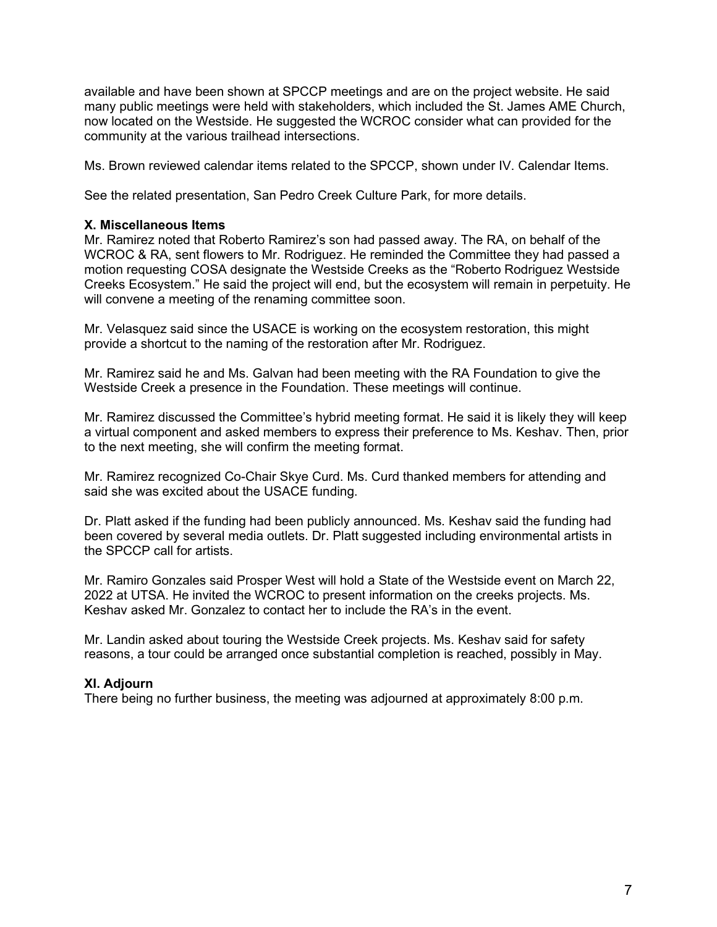available and have been shown at SPCCP meetings and are on the project website. He said many public meetings were held with stakeholders, which included the St. James AME Church, now located on the Westside. He suggested the WCROC consider what can provided for the community at the various trailhead intersections.

Ms. Brown reviewed calendar items related to the SPCCP, shown under IV. Calendar Items.

See the related presentation, San Pedro Creek Culture Park, for more details.

## **X. Miscellaneous Items**

Mr. Ramirez noted that Roberto Ramirez's son had passed away. The RA, on behalf of the WCROC & RA, sent flowers to Mr. Rodriguez. He reminded the Committee they had passed a motion requesting COSA designate the Westside Creeks as the "Roberto Rodriguez Westside Creeks Ecosystem." He said the project will end, but the ecosystem will remain in perpetuity. He will convene a meeting of the renaming committee soon.

Mr. Velasquez said since the USACE is working on the ecosystem restoration, this might provide a shortcut to the naming of the restoration after Mr. Rodriguez.

Mr. Ramirez said he and Ms. Galvan had been meeting with the RA Foundation to give the Westside Creek a presence in the Foundation. These meetings will continue.

Mr. Ramirez discussed the Committee's hybrid meeting format. He said it is likely they will keep a virtual component and asked members to express their preference to Ms. Keshav. Then, prior to the next meeting, she will confirm the meeting format.

Mr. Ramirez recognized Co-Chair Skye Curd. Ms. Curd thanked members for attending and said she was excited about the USACE funding.

Dr. Platt asked if the funding had been publicly announced. Ms. Keshav said the funding had been covered by several media outlets. Dr. Platt suggested including environmental artists in the SPCCP call for artists.

Mr. Ramiro Gonzales said Prosper West will hold a State of the Westside event on March 22, 2022 at UTSA. He invited the WCROC to present information on the creeks projects. Ms. Keshav asked Mr. Gonzalez to contact her to include the RA's in the event.

Mr. Landin asked about touring the Westside Creek projects. Ms. Keshav said for safety reasons, a tour could be arranged once substantial completion is reached, possibly in May.

# **XI. Adjourn**

There being no further business, the meeting was adjourned at approximately 8:00 p.m.